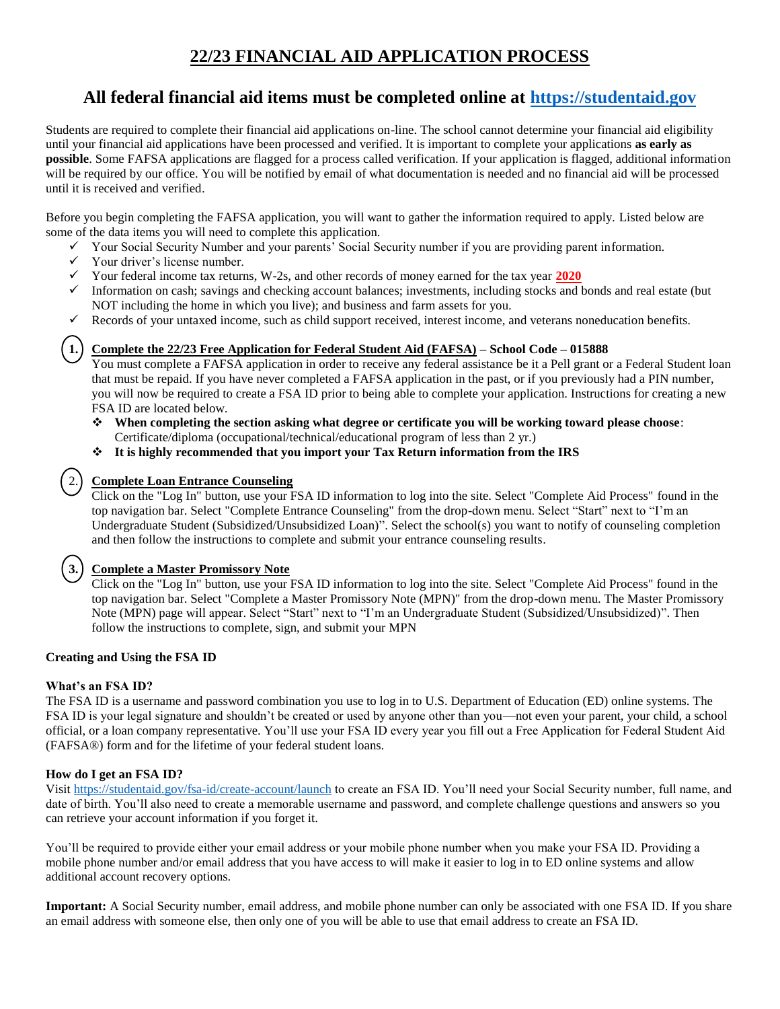# **22/23 FINANCIAL AID APPLICATION PROCESS**

## **All federal financial aid items must be completed online at [https://studentaid.gov](https://studentaid.gov/)**

Students are required to complete their financial aid applications on-line. The school cannot determine your financial aid eligibility until your financial aid applications have been processed and verified. It is important to complete your applications **as early as possible**. Some FAFSA applications are flagged for a process called verification. If your application is flagged, additional information will be required by our office. You will be notified by email of what documentation is needed and no financial aid will be processed until it is received and verified.

Before you begin completing the FAFSA application, you will want to gather the information required to apply. Listed below are some of the data items you will need to complete this application.

- $\checkmark$  Your Social Security Number and your parents' Social Security number if you are providing parent information.
- $\checkmark$  Your driver's license number.<br> $\checkmark$  Your federal income tax return
- Your federal income tax returns, W-2s, and other records of money earned for the tax year **2020**
- $\checkmark$  Information on cash; savings and checking account balances; investments, including stocks and bonds and real estate (but NOT including the home in which you live); and business and farm assets for you.
- Records of your untaxed income, such as child support received, interest income, and veterans noneducation benefits.

#### **1. Complete the 22/23 Free Application for Federal Student Aid (FAFSA) – School Code – 015888**

You must complete a FAFSA application in order to receive any federal assistance be it a Pell grant or a Federal Student loan that must be repaid. If you have never completed a FAFSA application in the past, or if you previously had a PIN number, you will now be required to create a FSA ID prior to being able to complete your application. Instructions for creating a new FSA ID are located below.

- ❖ **When completing the section asking what degree or certificate you will be working toward please choose**:
- Certificate/diploma (occupational/technical/educational program of less than 2 yr.)
- ❖ **It is highly recommended that you import your Tax Return information from the IRS**

### 2. **Complete Loan Entrance Counseling**

Click on the "Log In" button, use your FSA ID information to log into the site. Select "Complete Aid Process" found in the top navigation bar. Select "Complete Entrance Counseling" from the drop-down menu. Select "Start" next to "I'm an Undergraduate Student (Subsidized/Unsubsidized Loan)". Select the school(s) you want to notify of counseling completion and then follow the instructions to complete and submit your entrance counseling results.

#### **3. Complete a Master Promissory Note**

Click on the "Log In" button, use your FSA ID information to log into the site. Select "Complete Aid Process" found in the top navigation bar. Select "Complete a Master Promissory Note (MPN)" from the drop-down menu. The Master Promissory Note (MPN) page will appear. Select "Start" next to "I'm an Undergraduate Student (Subsidized/Unsubsidized)". Then follow the instructions to complete, sign, and submit your MPN

#### **Creating and Using the FSA ID**

#### **What's an FSA ID?**

The FSA ID is a username and password combination you use to log in to U.S. Department of Education (ED) online systems. The FSA ID is your legal signature and shouldn't be created or used by anyone other than you—not even your parent, your child, a school official, or a loan company representative. You'll use your FSA ID every year you fill out a Free Application for Federal Student Aid (FAFSA®) form and for the lifetime of your federal student loans.

#### **How do I get an FSA ID?**

Visit<https://studentaid.gov/fsa-id/create-account/launch> to create an FSA ID. You'll need your Social Security number, full name, and date of birth. You'll also need to create a memorable username and password, and complete challenge questions and answers so you can retrieve your account information if you forget it.

You'll be required to provide either your email address or your mobile phone number when you make your FSA ID. Providing a mobile phone number and/or email address that you have access to will make it easier to log in to ED online systems and allow additional account recovery options.

**Important:** A Social Security number, email address, and mobile phone number can only be associated with one FSA ID. If you share an email address with someone else, then only one of you will be able to use that email address to create an FSA ID.